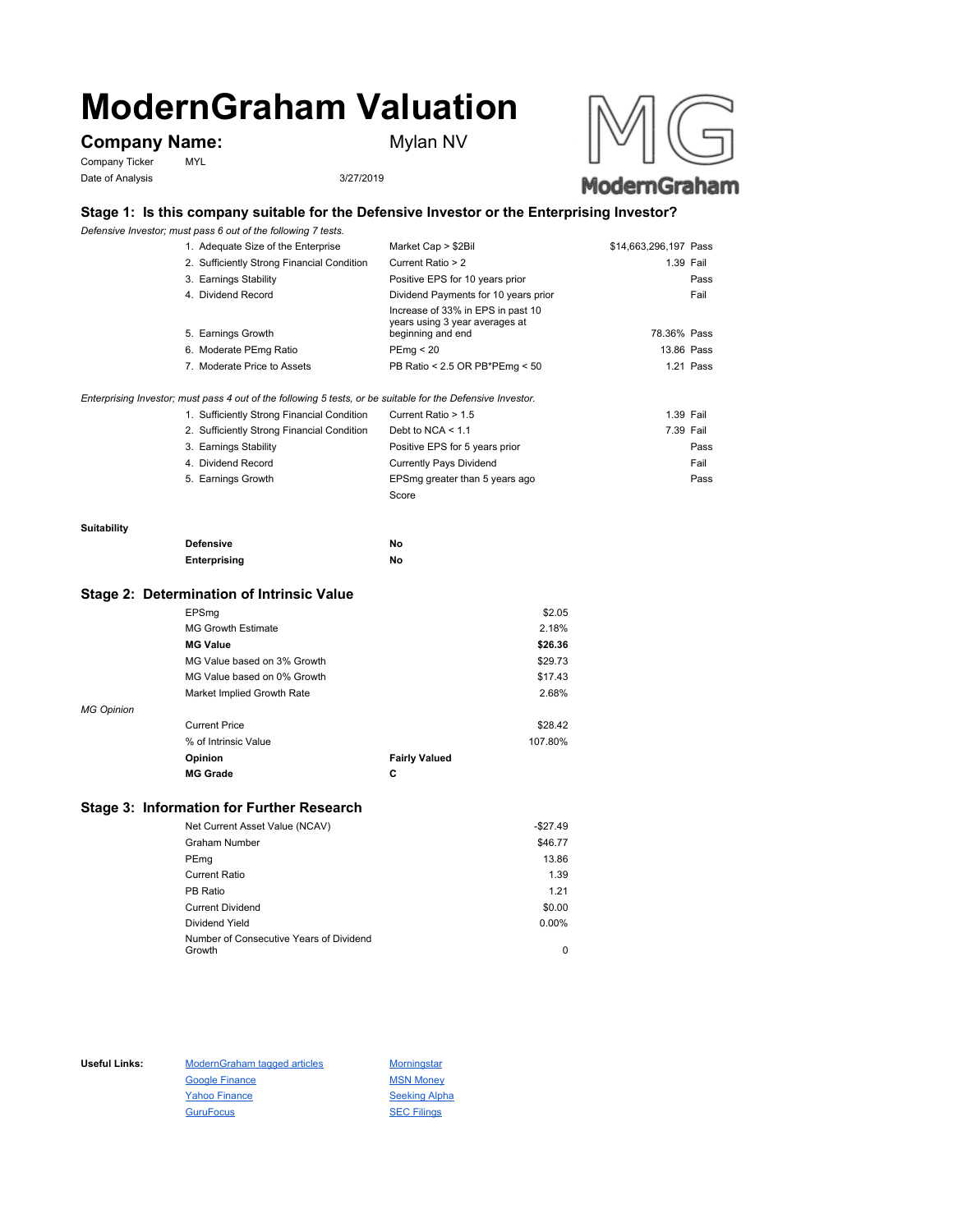# **ModernGraham Valuation**

# **Company Name:** Mylan NV

Company Ticker MYL Date of Analysis 3/27/2019





## **Stage 1: Is this company suitable for the Defensive Investor or the Enterprising Investor?**

*Defensive Investor; must pass 6 out of the following 7 tests.*

|                                                                                                             | 1. Adequate Size of the Enterprise         | Market Cap > \$2Bil                                                                      | \$14,663,296,197 Pass |
|-------------------------------------------------------------------------------------------------------------|--------------------------------------------|------------------------------------------------------------------------------------------|-----------------------|
|                                                                                                             | 2. Sufficiently Strong Financial Condition | Current Ratio > 2                                                                        | 1.39 Fail             |
|                                                                                                             | 3. Earnings Stability                      | Positive EPS for 10 years prior                                                          | Pass                  |
|                                                                                                             | 4. Dividend Record                         | Dividend Payments for 10 years prior                                                     | Fail                  |
|                                                                                                             | 5. Earnings Growth                         | Increase of 33% in EPS in past 10<br>years using 3 year averages at<br>beginning and end | 78.36% Pass           |
|                                                                                                             | 6. Moderate PEmg Ratio                     | PEmq < 20                                                                                | 13.86 Pass            |
|                                                                                                             | 7. Moderate Price to Assets                | PB Ratio < 2.5 OR PB*PEmg < 50                                                           | 1.21 Pass             |
| Enterprising Investor; must pass 4 out of the following 5 tests, or be suitable for the Defensive Investor. |                                            |                                                                                          |                       |

1. Sufficiently Strong Financial Condition Current Ratio > 1.5 1.39 Fail

| 2. Sufficiently Strong Financial Condition | Debt to NCA $<$ 1.1            | 7.39 Fail |
|--------------------------------------------|--------------------------------|-----------|
| 3. Earnings Stability                      | Positive EPS for 5 years prior | Pass      |
| 4. Dividend Record                         | <b>Currently Pays Dividend</b> | Fail      |
| 5. Earnings Growth                         | EPSmg greater than 5 years ago | Pass      |
|                                            | Score                          |           |

#### **Suitability**

| <b>Defensive</b> | No |
|------------------|----|
| Enterprising     | No |

#### **Stage 2: Determination of Intrinsic Value**

|                   | <b>MG Grade</b>             | С                    |         |
|-------------------|-----------------------------|----------------------|---------|
|                   | Opinion                     | <b>Fairly Valued</b> |         |
|                   | % of Intrinsic Value        |                      | 107.80% |
|                   | <b>Current Price</b>        |                      | \$28.42 |
| <b>MG Opinion</b> |                             |                      |         |
|                   | Market Implied Growth Rate  |                      | 2.68%   |
|                   | MG Value based on 0% Growth |                      | \$17.43 |
|                   | MG Value based on 3% Growth |                      | \$29.73 |
|                   | <b>MG Value</b>             |                      | \$26.36 |
|                   | <b>MG Growth Estimate</b>   |                      | 2.18%   |
|                   | EPSmg                       |                      | \$2.05  |

### **Stage 3: Information for Further Research**

| Net Current Asset Value (NCAV)          | $-$27.49$ |
|-----------------------------------------|-----------|
| Graham Number                           | \$46.77   |
| PEmg                                    | 13.86     |
| Current Ratio                           | 1.39      |
| PB Ratio                                | 1.21      |
| <b>Current Dividend</b>                 | \$0.00    |
| Dividend Yield                          | $0.00\%$  |
| Number of Consecutive Years of Dividend |           |
| Growth                                  | 0         |

Useful Links: ModernGraham tagged articles Morningstar Google Finance MSN Money Yahoo Finance Seeking Alpha GuruFocus SEC Filings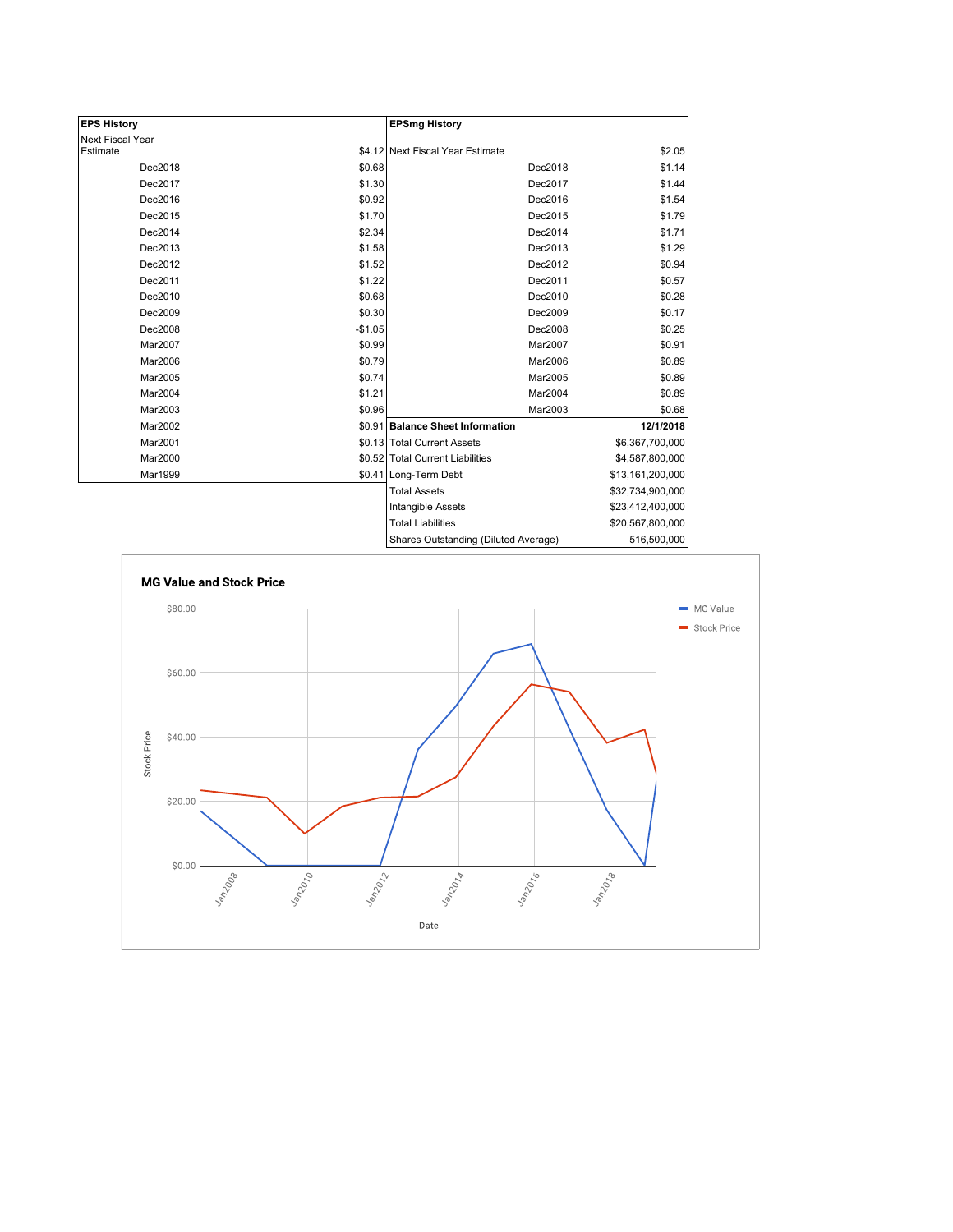| <b>EPS History</b> |          | <b>EPSmg History</b>                 |                  |
|--------------------|----------|--------------------------------------|------------------|
| Next Fiscal Year   |          |                                      |                  |
| Estimate           |          | \$4.12 Next Fiscal Year Estimate     | \$2.05           |
| Dec2018            | \$0.68   | Dec2018                              | \$1.14           |
| Dec2017            | \$1.30   | Dec2017                              | \$1.44           |
| Dec2016            | \$0.92   | Dec2016                              | \$1.54           |
| Dec2015            | \$1.70   | Dec2015                              | \$1.79           |
| Dec2014            | \$2.34   | Dec2014                              | \$1.71           |
| Dec2013            | \$1.58   | Dec2013                              | \$1.29           |
| Dec2012            | \$1.52   | Dec2012                              | \$0.94           |
| Dec2011            | \$1.22   | Dec2011                              | \$0.57           |
| Dec2010            | \$0.68   | Dec2010                              | \$0.28           |
| Dec2009            | \$0.30   | Dec2009                              | \$0.17           |
| Dec2008            | $-$1.05$ | Dec2008                              | \$0.25           |
| Mar2007            | \$0.99   | Mar2007                              | \$0.91           |
| Mar2006            | \$0.79   | Mar2006                              | \$0.89           |
| Mar2005            | \$0.74   | Mar2005                              | \$0.89           |
| Mar2004            | \$1.21   | Mar2004                              | \$0.89           |
| Mar2003            | \$0.96   | Mar2003                              | \$0.68           |
| Mar2002            |          | \$0.91 Balance Sheet Information     | 12/1/2018        |
| Mar2001            |          | \$0.13 Total Current Assets          | \$6,367,700,000  |
| Mar2000            |          | \$0.52 Total Current Liabilities     | \$4,587,800,000  |
| Mar1999            |          | \$0.41 Long-Term Debt                | \$13,161,200,000 |
|                    |          | <b>Total Assets</b>                  | \$32,734,900,000 |
|                    |          | Intangible Assets                    | \$23,412,400,000 |
|                    |          | <b>Total Liabilities</b>             | \$20,567,800,000 |
|                    |          | Shares Outstanding (Diluted Average) | 516,500,000      |